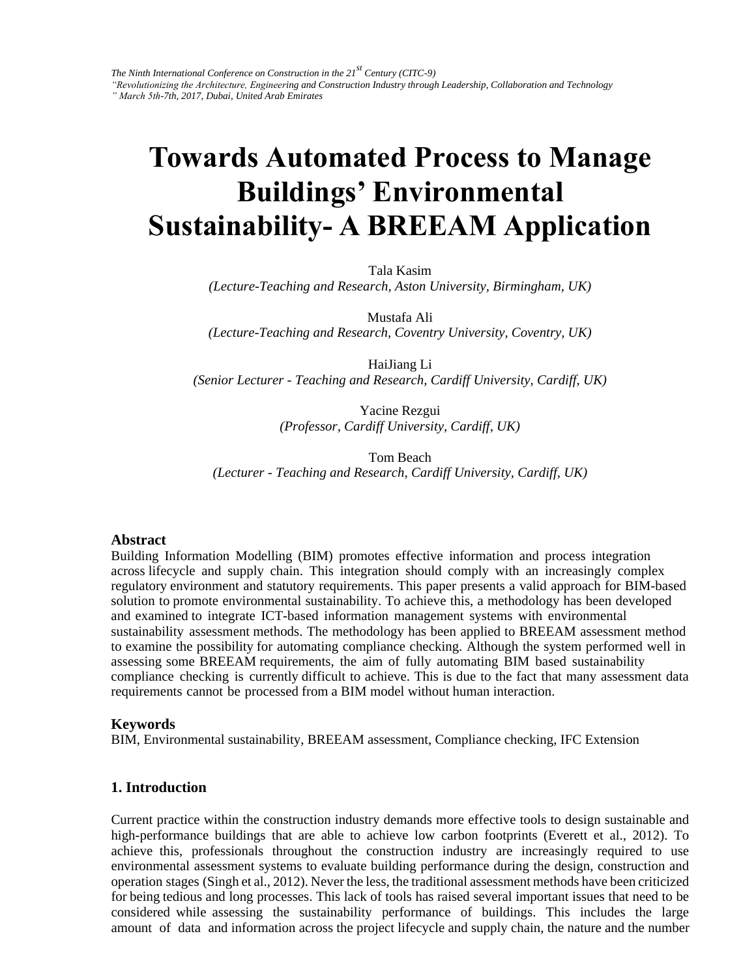# **Towards Automated Process to Manage Buildings' Environmental Sustainability- A BREEAM Application**

Tala Kasim

*(Lecture-Teaching and Research, Aston University, Birmingham, UK)* 

Mustafa Ali

*(Lecture-Teaching and Research, Coventry University, Coventry, UK)* 

HaiJiang Li *(Senior Lecturer - Teaching and Research, Cardiff University, Cardiff, UK)* 

> Yacine Rezgui *(Professor, Cardiff University, Cardiff, UK)*

Tom Beach *(Lecturer - Teaching and Research, Cardiff University, Cardiff, UK)* 

#### **Abstract**

Building Information Modelling (BIM) promotes effective information and process integration across lifecycle and supply chain. This integration should comply with an increasingly complex regulatory environment and statutory requirements. This paper presents a valid approach for BIM-based solution to promote environmental sustainability. To achieve this, a methodology has been developed and examined to integrate ICT-based information management systems with environmental sustainability assessment methods. The methodology has been applied to BREEAM assessment method to examine the possibility for automating compliance checking. Although the system performed well in assessing some BREEAM requirements, the aim of fully automating BIM based sustainability compliance checking is currently difficult to achieve. This is due to the fact that many assessment data requirements cannot be processed from a BIM model without human interaction.

#### **Keywords**

BIM, Environmental sustainability, BREEAM assessment, Compliance checking, IFC Extension

#### **1. Introduction**

Current practice within the construction industry demands more effective tools to design sustainable and high-performance buildings that are able to achieve low carbon footprints (Everett et al., 2012). To achieve this, professionals throughout the construction industry are increasingly required to use environmental assessment systems to evaluate building performance during the design, construction and operation stages (Singh et al., 2012). Never the less, the traditional assessment methods have been criticized for being tedious and long processes. This lack of tools has raised several important issues that need to be considered while assessing the sustainability performance of buildings. This includes the large amount of data and information across the project lifecycle and supply chain, the nature and the number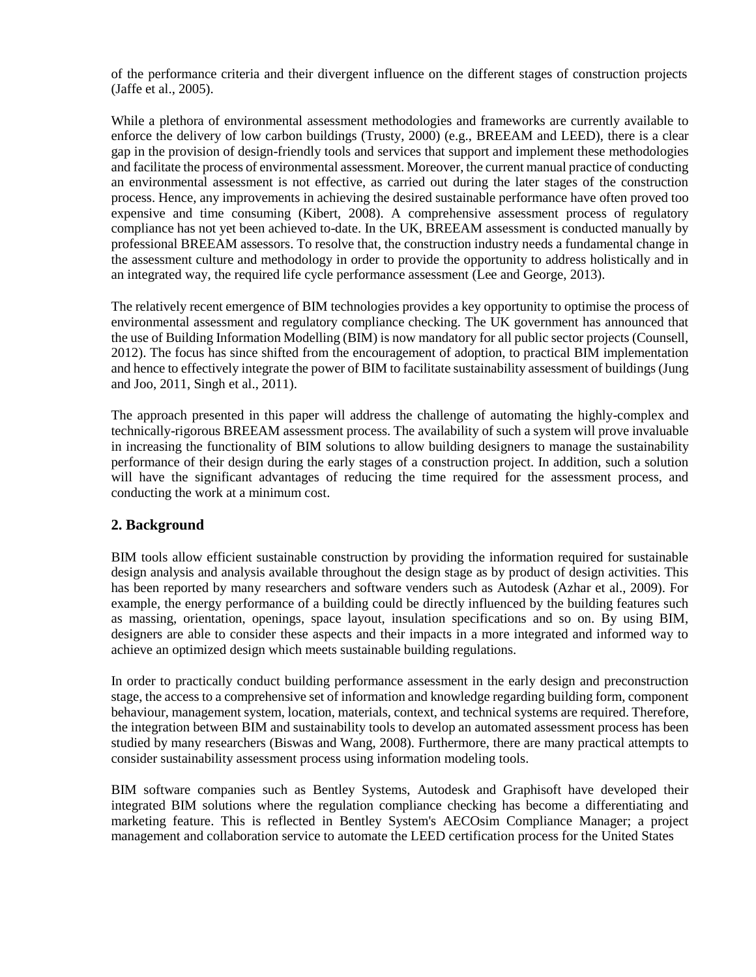of the performance criteria and their divergent influence on the different stages of construction projects (Jaffe et al., 2005).

While a plethora of environmental assessment methodologies and frameworks are currently available to enforce the delivery of low carbon buildings (Trusty, 2000) (e.g., BREEAM and LEED), there is a clear gap in the provision of design-friendly tools and services that support and implement these methodologies and facilitate the process of environmental assessment. Moreover, the current manual practice of conducting an environmental assessment is not effective, as carried out during the later stages of the construction process. Hence, any improvements in achieving the desired sustainable performance have often proved too expensive and time consuming (Kibert, 2008). A comprehensive assessment process of regulatory compliance has not yet been achieved to-date. In the UK, BREEAM assessment is conducted manually by professional BREEAM assessors. To resolve that, the construction industry needs a fundamental change in the assessment culture and methodology in order to provide the opportunity to address holistically and in an integrated way, the required life cycle performance assessment (Lee and George, 2013).

The relatively recent emergence of BIM technologies provides a key opportunity to optimise the process of environmental assessment and regulatory compliance checking. The UK government has announced that the use of Building Information Modelling (BIM) is now mandatory for all public sector projects (Counsell, 2012). The focus has since shifted from the encouragement of adoption, to practical BIM implementation and hence to effectively integrate the power of BIM to facilitate sustainability assessment of buildings (Jung and Joo, 2011, Singh et al., 2011).

The approach presented in this paper will address the challenge of automating the highly-complex and technically-rigorous BREEAM assessment process. The availability of such a system will prove invaluable in increasing the functionality of BIM solutions to allow building designers to manage the sustainability performance of their design during the early stages of a construction project. In addition, such a solution will have the significant advantages of reducing the time required for the assessment process, and conducting the work at a minimum cost.

# **2. Background**

BIM tools allow efficient sustainable construction by providing the information required for sustainable design analysis and analysis available throughout the design stage as by product of design activities. This has been reported by many researchers and software venders such as Autodesk (Azhar et al., 2009). For example, the energy performance of a building could be directly influenced by the building features such as massing, orientation, openings, space layout, insulation specifications and so on. By using BIM, designers are able to consider these aspects and their impacts in a more integrated and informed way to achieve an optimized design which meets sustainable building regulations.

In order to practically conduct building performance assessment in the early design and preconstruction stage, the access to a comprehensive set of information and knowledge regarding building form, component behaviour, management system, location, materials, context, and technical systems are required. Therefore, the integration between BIM and sustainability tools to develop an automated assessment process has been studied by many researchers (Biswas and Wang, 2008). Furthermore, there are many practical attempts to consider sustainability assessment process using information modeling tools.

BIM software companies such as Bentley Systems, Autodesk and Graphisoft have developed their integrated BIM solutions where the regulation compliance checking has become a differentiating and marketing feature. This is reflected in Bentley System's AECOsim Compliance Manager; a project management and collaboration service to automate the LEED certification process for the United States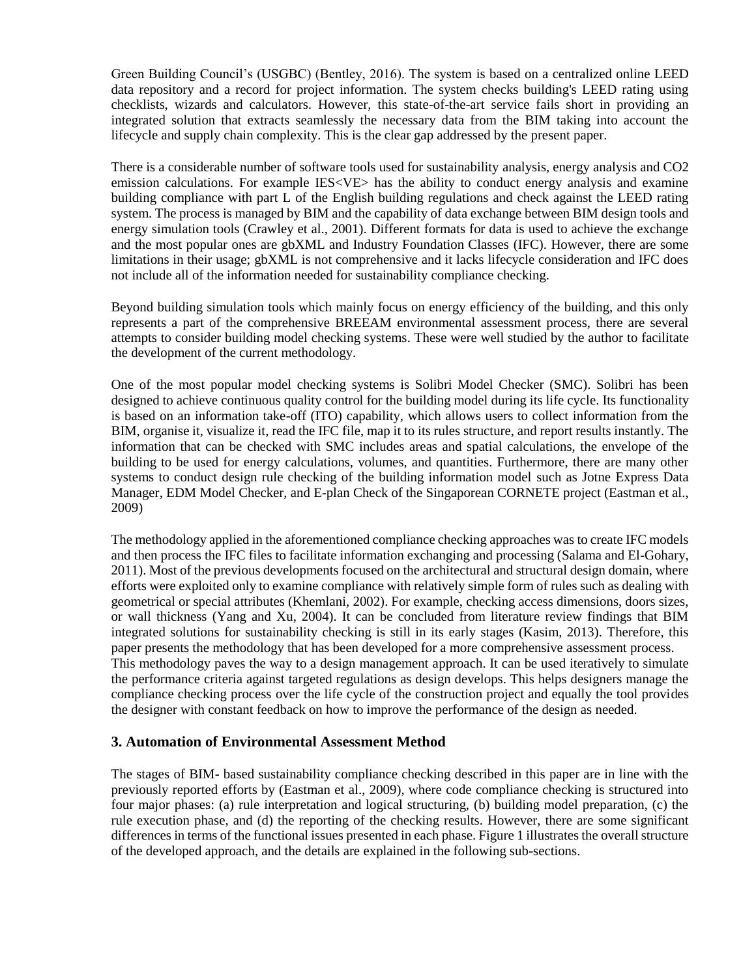Green Building Council's (USGBC) (Bentley, 2016). The system is based on a centralized online LEED data repository and a record for project information. The system checks building's LEED rating using checklists, wizards and calculators. However, this state-of-the-art service fails short in providing an integrated solution that extracts seamlessly the necessary data from the BIM taking into account the lifecycle and supply chain complexity. This is the clear gap addressed by the present paper.

There is a considerable number of software tools used for sustainability analysis, energy analysis and CO2 emission calculations. For example IES<VE> has the ability to conduct energy analysis and examine building compliance with part L of the English building regulations and check against the LEED rating system. The process is managed by BIM and the capability of data exchange between BIM design tools and energy simulation tools (Crawley et al., 2001). Different formats for data is used to achieve the exchange and the most popular ones are gbXML and Industry Foundation Classes (IFC). However, there are some limitations in their usage; gbXML is not comprehensive and it lacks lifecycle consideration and IFC does not include all of the information needed for sustainability compliance checking.

Beyond building simulation tools which mainly focus on energy efficiency of the building, and this only represents a part of the comprehensive BREEAM environmental assessment process, there are several attempts to consider building model checking systems. These were well studied by the author to facilitate the development of the current methodology.

One of the most popular model checking systems is Solibri Model Checker (SMC). Solibri has been designed to achieve continuous quality control for the building model during its life cycle. Its functionality is based on an information take-off (ITO) capability, which allows users to collect information from the BIM, organise it, visualize it, read the IFC file, map it to its rules structure, and report results instantly. The information that can be checked with SMC includes areas and spatial calculations, the envelope of the building to be used for energy calculations, volumes, and quantities. Furthermore, there are many other systems to conduct design rule checking of the building information model such as Jotne Express Data Manager, EDM Model Checker, and E-plan Check of the Singaporean CORNETE project (Eastman et al., 2009)

The methodology applied in the aforementioned compliance checking approaches was to create IFC models and then process the IFC files to facilitate information exchanging and processing (Salama and El-Gohary, 2011). Most of the previous developments focused on the architectural and structural design domain, where efforts were exploited only to examine compliance with relatively simple form of rules such as dealing with geometrical or special attributes (Khemlani, 2002). For example, checking access dimensions, doors sizes, or wall thickness (Yang and Xu, 2004). It can be concluded from literature review findings that BIM integrated solutions for sustainability checking is still in its early stages (Kasim, 2013). Therefore, this paper presents the methodology that has been developed for a more comprehensive assessment process. This methodology paves the way to a design management approach. It can be used iteratively to simulate the performance criteria against targeted regulations as design develops. This helps designers manage the compliance checking process over the life cycle of the construction project and equally the tool provides the designer with constant feedback on how to improve the performance of the design as needed.

# **3. Automation of Environmental Assessment Method**

The stages of BIM- based sustainability compliance checking described in this paper are in line with the previously reported efforts by (Eastman et al., 2009), where code compliance checking is structured into four major phases: (a) rule interpretation and logical structuring, (b) building model preparation, (c) the rule execution phase, and (d) the reporting of the checking results. However, there are some significant differences in terms of the functional issues presented in each phase. Figure 1 illustrates the overall structure of the developed approach, and the details are explained in the following sub-sections.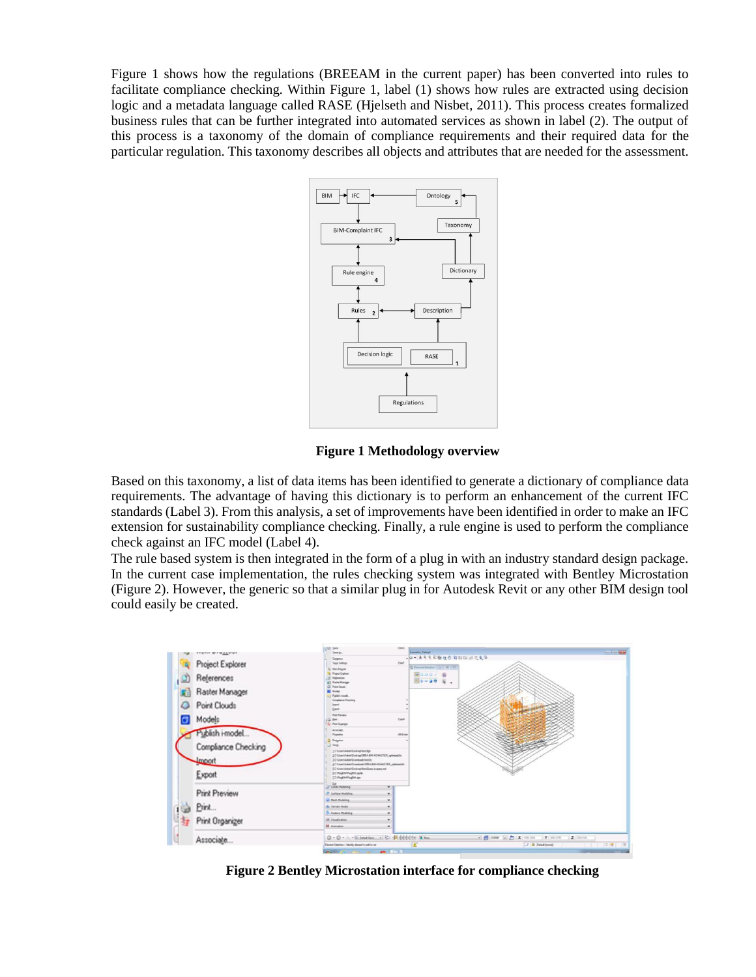Figure 1 shows how the regulations (BREEAM in the current paper) has been converted into rules to facilitate compliance checking. Within Figure 1, label (1) shows how rules are extracted using decision logic and a metadata language called RASE (Hjelseth and Nisbet, 2011). This process creates formalized business rules that can be further integrated into automated services as shown in label (2). The output of this process is a taxonomy of the domain of compliance requirements and their required data for the particular regulation. This taxonomy describes all objects and attributes that are needed for the assessment.



**Figure 1 Methodology overview**

Based on this taxonomy, a list of data items has been identified to generate a dictionary of compliance data requirements. The advantage of having this dictionary is to perform an enhancement of the current IFC standards (Label 3). From this analysis, a set of improvements have been identified in order to make an IFC extension for sustainability compliance checking. Finally, a rule engine is used to perform the compliance check against an IFC model (Label 4).

The rule based system is then integrated in the form of a plug in with an industry standard design package. In the current case implementation, the rules checking system was integrated with Bentley Microstation (Figure 2). However, the generic so that a similar plug in for Autodesk Revit or any other BIM design tool could easily be created.



**Figure 2 Bentley Microstation interface for compliance checking**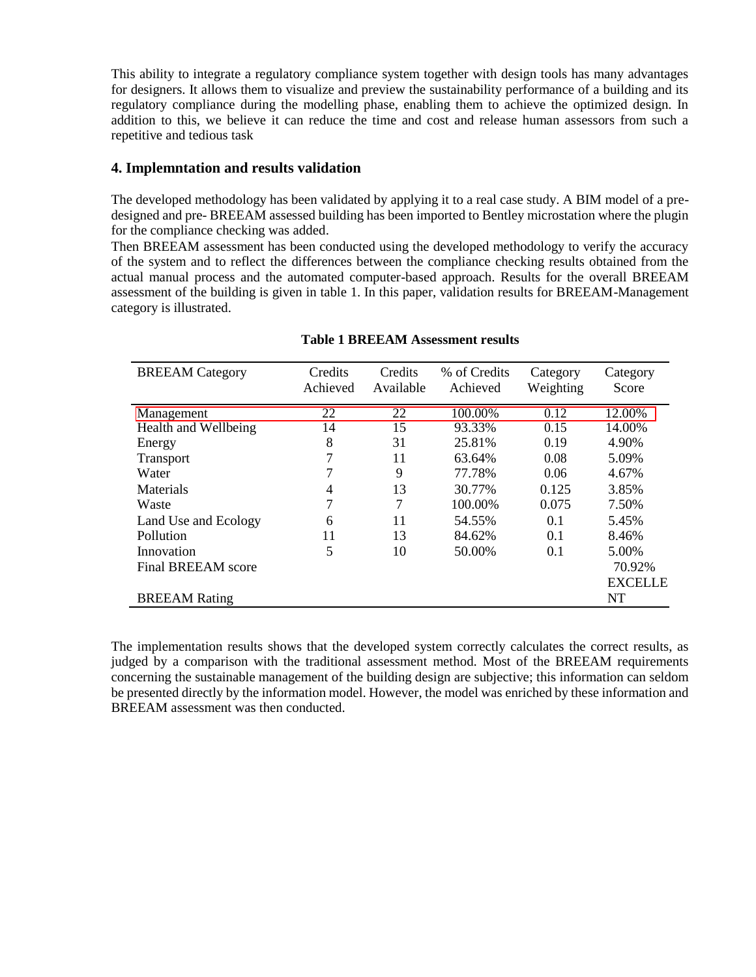This ability to integrate a regulatory compliance system together with design tools has many advantages for designers. It allows them to visualize and preview the sustainability performance of a building and its regulatory compliance during the modelling phase, enabling them to achieve the optimized design. In addition to this, we believe it can reduce the time and cost and release human assessors from such a repetitive and tedious task

## **4. Implemntation and results validation**

The developed methodology has been validated by applying it to a real case study. A BIM model of a predesigned and pre- BREEAM assessed building has been imported to Bentley microstation where the plugin for the compliance checking was added.

Then BREEAM assessment has been conducted using the developed methodology to verify the accuracy of the system and to reflect the differences between the compliance checking results obtained from the actual manual process and the automated computer-based approach. Results for the overall BREEAM assessment of the building is given in table 1. In this paper, validation results for BREEAM-Management category is illustrated.

| <b>BREEAM</b> Category    | Credits<br>Achieved | Credits<br>Available | % of Credits<br>Achieved | Category<br>Weighting | Category<br>Score |
|---------------------------|---------------------|----------------------|--------------------------|-----------------------|-------------------|
| Management                | $\overline{22}$     | 22                   | 100.00%                  | 0.12                  | 12.00%            |
| Health and Wellbeing      | 14                  | 15                   | 93.33%                   | 0.15                  | 14.00%            |
| Energy                    | 8                   | 31                   | 25.81%                   | 0.19                  | 4.90%             |
| <b>Transport</b>          |                     | 11                   | 63.64%                   | 0.08                  | 5.09%             |
| Water                     |                     | 9                    | 77.78%                   | 0.06                  | 4.67%             |
| Materials                 | 4                   | 13                   | 30.77%                   | 0.125                 | 3.85%             |
| Waste                     | 7                   | 7                    | 100.00%                  | 0.075                 | 7.50%             |
| Land Use and Ecology      | 6                   | 11                   | 54.55%                   | 0.1                   | 5.45%             |
| Pollution                 | 11                  | 13                   | 84.62%                   | 0.1                   | 8.46%             |
| Innovation                | 5                   | 10                   | 50.00%                   | 0.1                   | 5.00%             |
| <b>Final BREEAM</b> score |                     |                      |                          |                       | 70.92%            |
|                           |                     |                      |                          |                       | <b>EXCELLE</b>    |
| <b>BREEAM Rating</b>      |                     |                      |                          |                       | <b>NT</b>         |

### **Table 1 BREEAM Assessment results**

The implementation results shows that the developed system correctly calculates the correct results, as judged by a comparison with the traditional assessment method. Most of the BREEAM requirements concerning the sustainable management of the building design are subjective; this information can seldom be presented directly by the information model. However, the model was enriched by these information and BREEAM assessment was then conducted.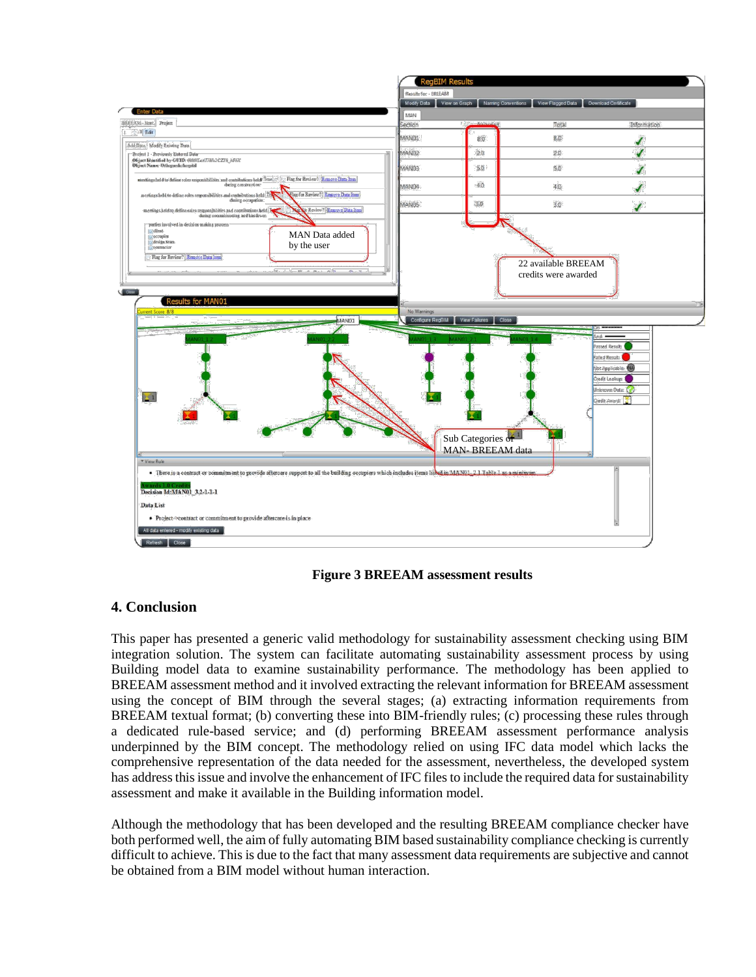

**Figure 3 BREEAM assessment results**

# **4. Conclusion**

This paper has presented a generic valid methodology for sustainability assessment checking using BIM integration solution. The system can facilitate automating sustainability assessment process by using Building model data to examine sustainability performance. The methodology has been applied to BREEAM assessment method and it involved extracting the relevant information for BREEAM assessment using the concept of BIM through the several stages; (a) extracting information requirements from BREEAM textual format; (b) converting these into BIM-friendly rules; (c) processing these rules through a dedicated rule-based service; and (d) performing BREEAM assessment performance analysis underpinned by the BIM concept. The methodology relied on using IFC data model which lacks the comprehensive representation of the data needed for the assessment, nevertheless, the developed system has address this issue and involve the enhancement of IFC files to include the required data for sustainability assessment and make it available in the Building information model.

Although the methodology that has been developed and the resulting BREEAM compliance checker have both performed well, the aim of fully automating BIM based sustainability compliance checking is currently difficult to achieve. This is due to the fact that many assessment data requirements are subjective and cannot be obtained from a BIM model without human interaction.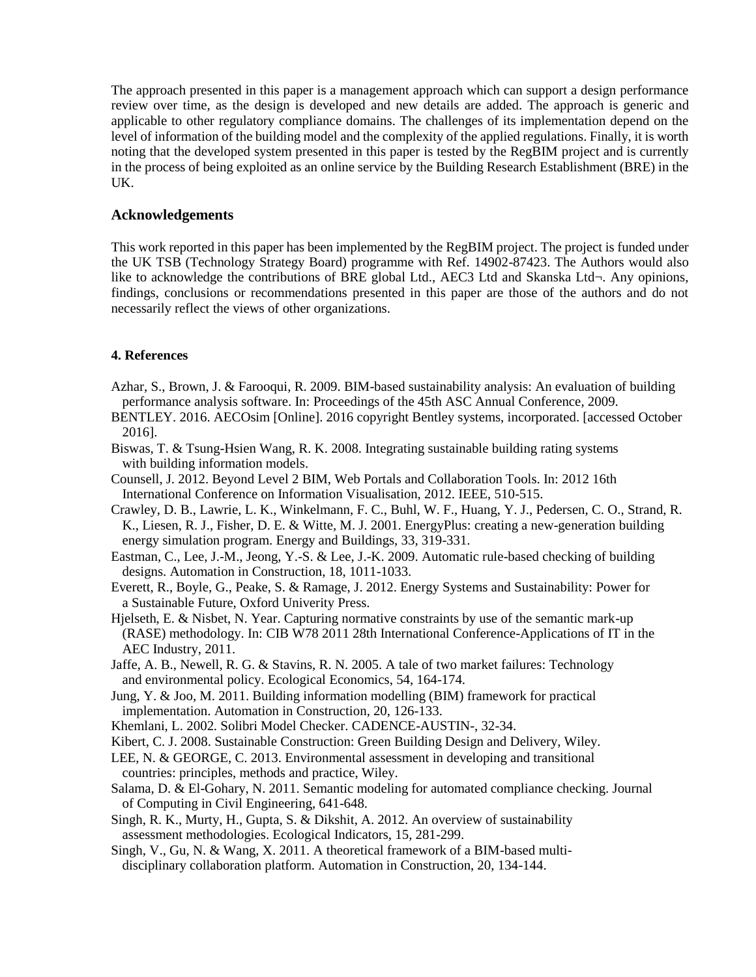The approach presented in this paper is a management approach which can support a design performance review over time, as the design is developed and new details are added. The approach is generic and applicable to other regulatory compliance domains. The challenges of its implementation depend on the level of information of the building model and the complexity of the applied regulations. Finally, it is worth noting that the developed system presented in this paper is tested by the RegBIM project and is currently in the process of being exploited as an online service by the Building Research Establishment (BRE) in the UK.

## **Acknowledgements**

This work reported in this paper has been implemented by the RegBIM project. The project is funded under the UK TSB (Technology Strategy Board) programme with Ref. 14902-87423. The Authors would also like to acknowledge the contributions of BRE global Ltd., AEC3 Ltd and Skanska Ltd¬. Any opinions, findings, conclusions or recommendations presented in this paper are those of the authors and do not necessarily reflect the views of other organizations.

## **4. References**

- Azhar, S., Brown, J. & Farooqui, R. 2009. BIM-based sustainability analysis: An evaluation of building performance analysis software. In: Proceedings of the 45th ASC Annual Conference, 2009.
- BENTLEY. 2016. AECOsim [Online]. 2016 copyright Bentley systems, incorporated. [accessed October 2016].
- Biswas, T. & Tsung-Hsien Wang, R. K. 2008. Integrating sustainable building rating systems with building information models.
- Counsell, J. 2012. Beyond Level 2 BIM, Web Portals and Collaboration Tools. In: 2012 16th International Conference on Information Visualisation, 2012. IEEE, 510-515.
- Crawley, D. B., Lawrie, L. K., Winkelmann, F. C., Buhl, W. F., Huang, Y. J., Pedersen, C. O., Strand, R. K., Liesen, R. J., Fisher, D. E. & Witte, M. J. 2001. EnergyPlus: creating a new-generation building energy simulation program. Energy and Buildings, 33, 319-331.
- Eastman, C., Lee, J.-M., Jeong, Y.-S. & Lee, J.-K. 2009. Automatic rule-based checking of building designs. Automation in Construction, 18, 1011-1033.
- Everett, R., Boyle, G., Peake, S. & Ramage, J. 2012. Energy Systems and Sustainability: Power for a Sustainable Future, Oxford Univerity Press.
- Hjelseth, E. & Nisbet, N. Year. Capturing normative constraints by use of the semantic mark-up (RASE) methodology. In: CIB W78 2011 28th International Conference-Applications of IT in the AEC Industry, 2011.
- Jaffe, A. B., Newell, R. G. & Stavins, R. N. 2005. A tale of two market failures: Technology and environmental policy. Ecological Economics, 54, 164-174.
- Jung, Y. & Joo, M. 2011. Building information modelling (BIM) framework for practical implementation. Automation in Construction, 20, 126-133.
- Khemlani, L. 2002. Solibri Model Checker. CADENCE-AUSTIN-, 32-34.
- Kibert, C. J. 2008. Sustainable Construction: Green Building Design and Delivery, Wiley.
- LEE, N. & GEORGE, C. 2013. Environmental assessment in developing and transitional countries: principles, methods and practice, Wiley.
- Salama, D. & El-Gohary, N. 2011. Semantic modeling for automated compliance checking. Journal of Computing in Civil Engineering, 641-648.
- Singh, R. K., Murty, H., Gupta, S. & Dikshit, A. 2012. An overview of sustainability assessment methodologies. Ecological Indicators, 15, 281-299.
- Singh, V., Gu, N. & Wang, X. 2011. A theoretical framework of a BIM-based multidisciplinary collaboration platform. Automation in Construction, 20, 134-144.